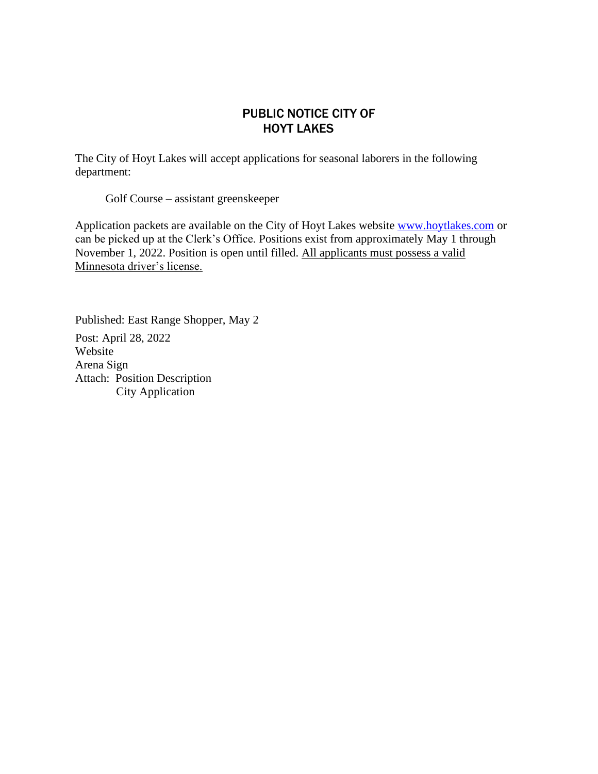## PUBLIC NOTICE CITY OF HOYT LAKES

The City of Hoyt Lakes will accept applications for seasonal laborers in the following department:

Golf Course – assistant greenskeeper

Application packets are available on the City of Hoyt Lakes website [www.hoytlakes.com](http://www.hoytlakes.com./) or can be picked up at the Clerk's Office. Positions exist from approximately May 1 through November 1, 2022. Position is open until filled. All applicants must possess a valid Minnesota driver's license.

Published: East Range Shopper, May 2 Post: April 28, 2022 Website Arena Sign Attach: Position Description City Application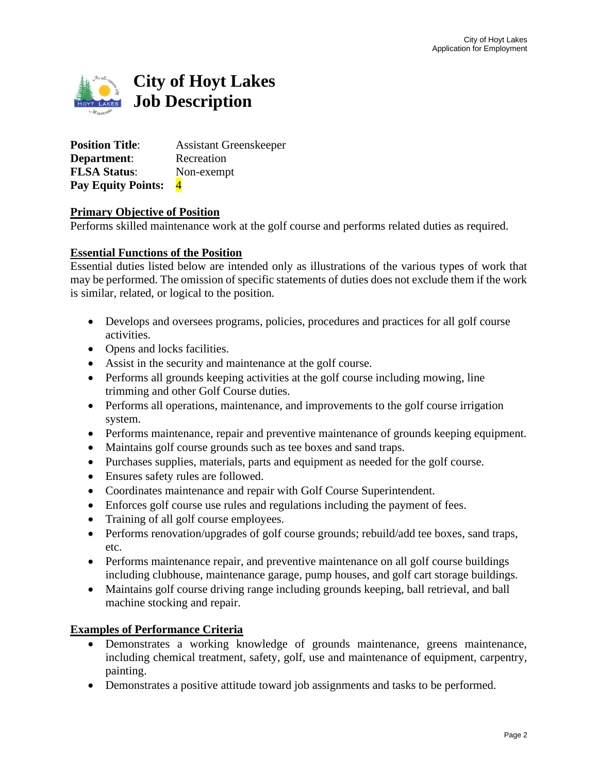

**Position Title:** Assistant Greenskeeper **Department:** Recreation **FLSA Status**: Non-exempt **Pay Equity Points:** 4

#### **Primary Objective of Position**

Performs skilled maintenance work at the golf course and performs related duties as required.

#### **Essential Functions of the Position**

Essential duties listed below are intended only as illustrations of the various types of work that may be performed. The omission of specific statements of duties does not exclude them if the work is similar, related, or logical to the position*.*

- Develops and oversees programs, policies, procedures and practices for all golf course activities.
- Opens and locks facilities.
- Assist in the security and maintenance at the golf course.
- Performs all grounds keeping activities at the golf course including mowing, line trimming and other Golf Course duties.
- Performs all operations, maintenance, and improvements to the golf course irrigation system.
- Performs maintenance, repair and preventive maintenance of grounds keeping equipment.
- Maintains golf course grounds such as tee boxes and sand traps.
- Purchases supplies, materials, parts and equipment as needed for the golf course.
- Ensures safety rules are followed.
- Coordinates maintenance and repair with Golf Course Superintendent.
- Enforces golf course use rules and regulations including the payment of fees.
- Training of all golf course employees.
- Performs renovation/upgrades of golf course grounds; rebuild/add tee boxes, sand traps, etc.
- Performs maintenance repair, and preventive maintenance on all golf course buildings including clubhouse, maintenance garage, pump houses, and golf cart storage buildings.
- Maintains golf course driving range including grounds keeping, ball retrieval, and ball machine stocking and repair.

#### **Examples of Performance Criteria**

- Demonstrates a working knowledge of grounds maintenance, greens maintenance, including chemical treatment, safety, golf, use and maintenance of equipment, carpentry, painting.
- Demonstrates a positive attitude toward job assignments and tasks to be performed.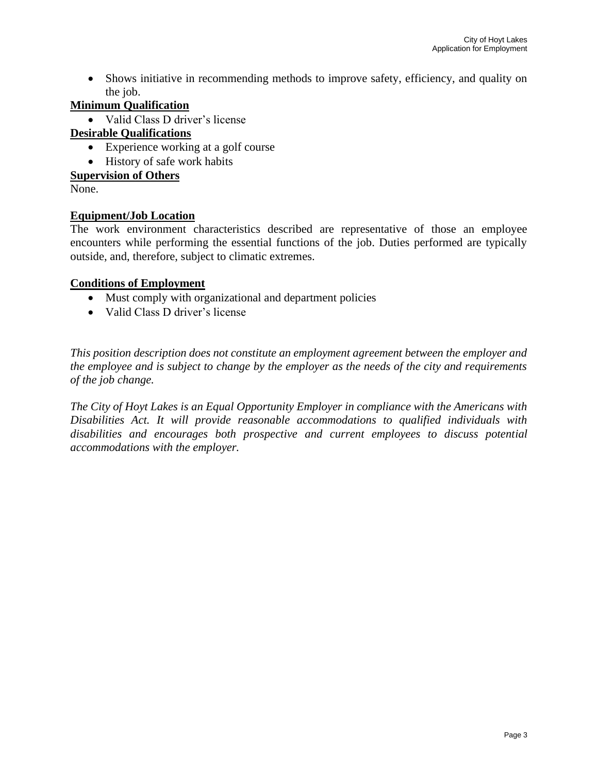• Shows initiative in recommending methods to improve safety, efficiency, and quality on the job.

## **Minimum Qualification**

• Valid Class D driver's license

## **Desirable Qualifications**

- Experience working at a golf course
- History of safe work habits

### **Supervision of Others**

None.

## **Equipment/Job Location**

The work environment characteristics described are representative of those an employee encounters while performing the essential functions of the job. Duties performed are typically outside, and, therefore, subject to climatic extremes.

#### **Conditions of Employment**

- Must comply with organizational and department policies
- Valid Class D driver's license

*This position description does not constitute an employment agreement between the employer and the employee and is subject to change by the employer as the needs of the city and requirements of the job change.*

*The City of Hoyt Lakes is an Equal Opportunity Employer in compliance with the Americans with Disabilities Act. It will provide reasonable accommodations to qualified individuals with disabilities and encourages both prospective and current employees to discuss potential accommodations with the employer.*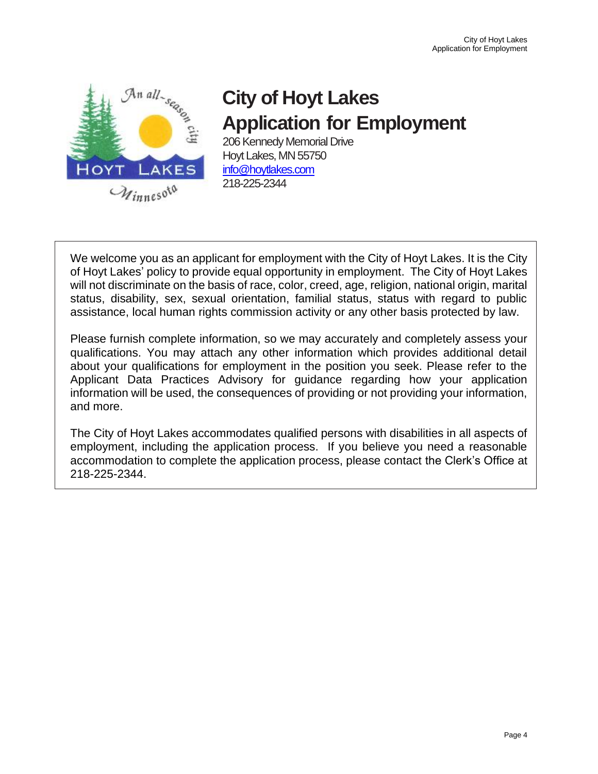

# **City of Hoyt Lakes Application for Employment**

206 Kennedy Memorial Drive Hoyt Lakes, MN 55750 [info@hoytlakes.com](mailto:info@hoytlakes.com) 218-225-2344

We welcome you as an applicant for employment with the City of Hoyt Lakes. It is the City of Hoyt Lakes' policy to provide equal opportunity in employment. The City of Hoyt Lakes will not discriminate on the basis of race, color, creed, age, religion, national origin, marital status, disability, sex, sexual orientation, familial status, status with regard to public assistance, local human rights commission activity or any other basis protected by law.

Please furnish complete information, so we may accurately and completely assess your qualifications. You may attach any other information which provides additional detail about your qualifications for employment in the position you seek. Please refer to the Applicant Data Practices Advisory for guidance regarding how your application information will be used, the consequences of providing or not providing your information, and more.

The City of Hoyt Lakes accommodates qualified persons with disabilities in all aspects of employment, including the application process. If you believe you need a reasonable accommodation to complete the application process, please contact the Clerk's Office at 218-225-2344.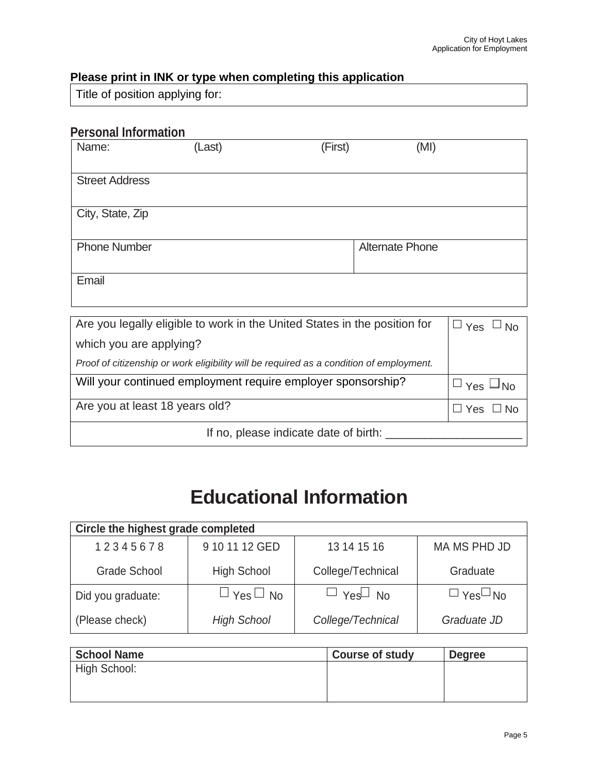## **Please print in INK or type when completing this application**

Title of position applying for:

## **Personal Information**

| Name:                 | (Last) | (First) | (MI)                   |
|-----------------------|--------|---------|------------------------|
| <b>Street Address</b> |        |         |                        |
| City, State, Zip      |        |         |                        |
| <b>Phone Number</b>   |        |         | <b>Alternate Phone</b> |
| Email                 |        |         |                        |
|                       |        |         |                        |

| Are you legally eligible to work in the United States in the position for               | $ \Box$ Yes $\Box$ No |  |
|-----------------------------------------------------------------------------------------|-----------------------|--|
| which you are applying?                                                                 |                       |  |
| Proof of citizenship or work eligibility will be required as a condition of employment. |                       |  |
| Will your continued employment require employer sponsorship?                            | → Yes 凵No             |  |
| Are you at least 18 years old?                                                          | $\Box$ Yes $\Box$ No  |  |
| If no, please indicate date of birth:                                                   |                       |  |

## **Educational Information**

| Circle the highest grade completed |                      |                      |                      |  |
|------------------------------------|----------------------|----------------------|----------------------|--|
| 12345678                           | 9 10 11 12 GED       | 13 14 15 16          | MA MS PHD JD         |  |
| <b>Grade School</b>                | <b>High School</b>   | College/Technical    | Graduate             |  |
| Did you graduate:                  | $\Box$ Yes $\Box$ No | $\Box$ Yes $\Box$ No | $\Box$ Yes $\Box$ No |  |
| (Please check)                     | <b>High School</b>   | College/Technical    | Graduate JD          |  |

| <b>School Name</b> | <b>Course of study</b> | <b>Degree</b> |
|--------------------|------------------------|---------------|
| High School:       |                        |               |
|                    |                        |               |
|                    |                        |               |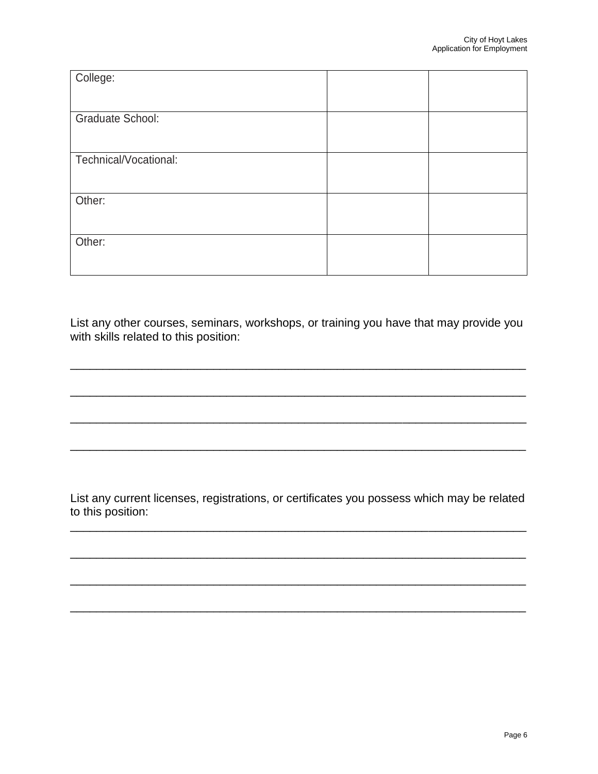| College:                |  |
|-------------------------|--|
|                         |  |
| <b>Graduate School:</b> |  |
|                         |  |
| Technical/Vocational:   |  |
|                         |  |
| Other:                  |  |
|                         |  |
| Other:                  |  |
|                         |  |
|                         |  |

List any other courses, seminars, workshops, or training you have that may provide you with skills related to this position:

\_\_\_\_\_\_\_\_\_\_\_\_\_\_\_\_\_\_\_\_\_\_\_\_\_\_\_\_\_\_\_\_\_\_\_\_\_\_\_\_\_\_\_\_\_\_\_\_\_\_\_\_\_\_\_\_\_\_\_\_\_\_\_\_\_\_\_\_\_\_

\_\_\_\_\_\_\_\_\_\_\_\_\_\_\_\_\_\_\_\_\_\_\_\_\_\_\_\_\_\_\_\_\_\_\_\_\_\_\_\_\_\_\_\_\_\_\_\_\_\_\_\_\_\_\_\_\_\_\_\_\_\_\_\_\_\_\_\_\_\_

\_\_\_\_\_\_\_\_\_\_\_\_\_\_\_\_\_\_\_\_\_\_\_\_\_\_\_\_\_\_\_\_\_\_\_\_\_\_\_\_\_\_\_\_\_\_\_\_\_\_\_\_\_\_\_\_\_\_\_\_\_\_\_\_\_\_\_\_\_\_

\_\_\_\_\_\_\_\_\_\_\_\_\_\_\_\_\_\_\_\_\_\_\_\_\_\_\_\_\_\_\_\_\_\_\_\_\_\_\_\_\_\_\_\_\_\_\_\_\_\_\_\_\_\_\_\_\_\_\_\_\_\_\_\_\_\_\_\_\_\_

List any current licenses, registrations, or certificates you possess which may be related to this position:

\_\_\_\_\_\_\_\_\_\_\_\_\_\_\_\_\_\_\_\_\_\_\_\_\_\_\_\_\_\_\_\_\_\_\_\_\_\_\_\_\_\_\_\_\_\_\_\_\_\_\_\_\_\_\_\_\_\_\_\_\_\_\_\_\_\_\_\_\_\_

\_\_\_\_\_\_\_\_\_\_\_\_\_\_\_\_\_\_\_\_\_\_\_\_\_\_\_\_\_\_\_\_\_\_\_\_\_\_\_\_\_\_\_\_\_\_\_\_\_\_\_\_\_\_\_\_\_\_\_\_\_\_\_\_\_\_\_\_\_\_

\_\_\_\_\_\_\_\_\_\_\_\_\_\_\_\_\_\_\_\_\_\_\_\_\_\_\_\_\_\_\_\_\_\_\_\_\_\_\_\_\_\_\_\_\_\_\_\_\_\_\_\_\_\_\_\_\_\_\_\_\_\_\_\_\_\_\_\_\_\_

\_\_\_\_\_\_\_\_\_\_\_\_\_\_\_\_\_\_\_\_\_\_\_\_\_\_\_\_\_\_\_\_\_\_\_\_\_\_\_\_\_\_\_\_\_\_\_\_\_\_\_\_\_\_\_\_\_\_\_\_\_\_\_\_\_\_\_\_\_\_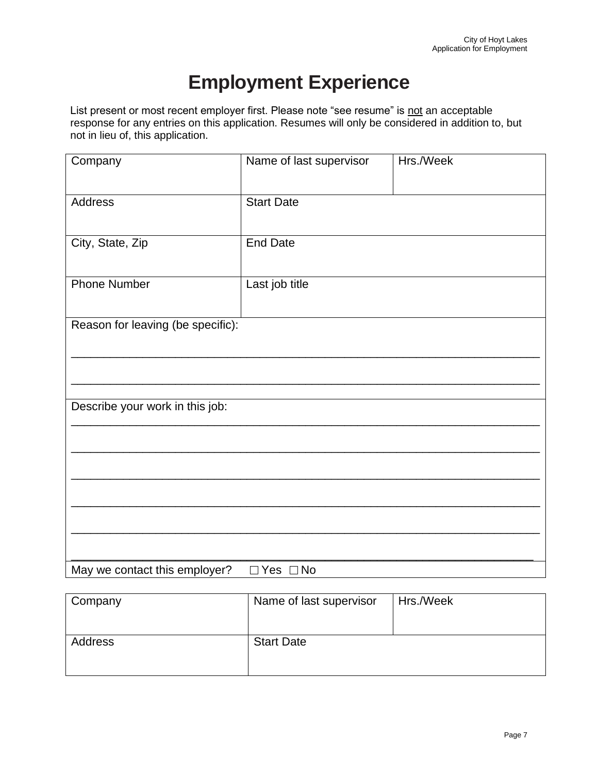## **Employment Experience**

List present or most recent employer first. Please note "see resume" is not an acceptable response for any entries on this application. Resumes will only be considered in addition to, but not in lieu of, this application.

| Company                           | Name of last supervisor | Hrs./Week |
|-----------------------------------|-------------------------|-----------|
| Address                           | <b>Start Date</b>       |           |
| City, State, Zip                  | <b>End Date</b>         |           |
| <b>Phone Number</b>               | Last job title          |           |
| Reason for leaving (be specific): |                         |           |
|                                   |                         |           |
| Describe your work in this job:   |                         |           |
|                                   |                         |           |
|                                   |                         |           |
|                                   |                         |           |
| May we contact this employer?     | $\Box$ Yes $\Box$ No    |           |

| Company | Name of last supervisor | Hrs./Week |
|---------|-------------------------|-----------|
| Address | <b>Start Date</b>       |           |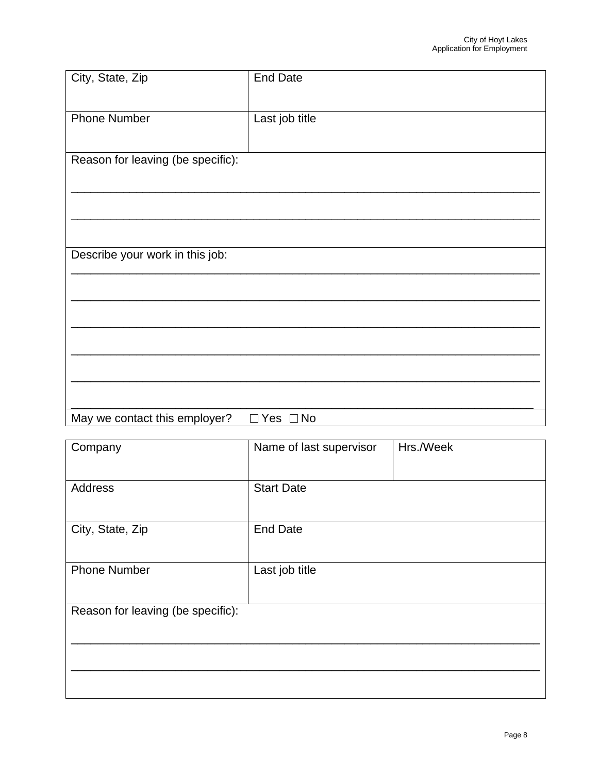| City, State, Zip                  | <b>End Date</b>      |
|-----------------------------------|----------------------|
|                                   |                      |
| <b>Phone Number</b>               | Last job title       |
|                                   |                      |
| Reason for leaving (be specific): |                      |
|                                   |                      |
|                                   |                      |
|                                   |                      |
|                                   |                      |
| Describe your work in this job:   |                      |
|                                   |                      |
|                                   |                      |
|                                   |                      |
|                                   |                      |
|                                   |                      |
|                                   |                      |
| May we contact this employer?     | $\Box$ Yes $\Box$ No |

| Company                           | Name of last supervisor | Hrs./Week |
|-----------------------------------|-------------------------|-----------|
| Address                           | <b>Start Date</b>       |           |
| City, State, Zip                  | <b>End Date</b>         |           |
| <b>Phone Number</b>               | Last job title          |           |
| Reason for leaving (be specific): |                         |           |
|                                   |                         |           |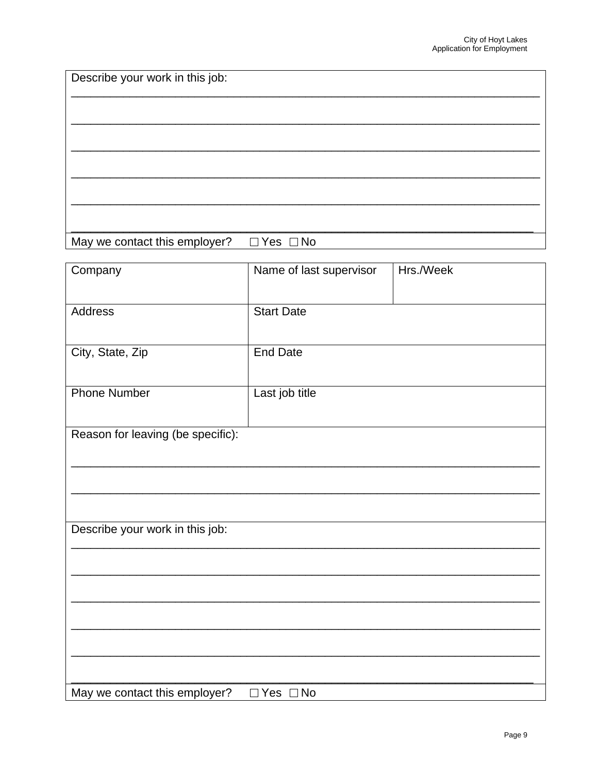Describe your work in this job: May we contact this employer?  $\Box$  Yes  $\Box$  No

| Company                           | Name of last supervisor | Hrs./Week |
|-----------------------------------|-------------------------|-----------|
| Address                           | <b>Start Date</b>       |           |
| City, State, Zip                  | <b>End Date</b>         |           |
| <b>Phone Number</b>               | Last job title          |           |
| Reason for leaving (be specific): |                         |           |
|                                   |                         |           |
|                                   |                         |           |
| Describe your work in this job:   |                         |           |
|                                   |                         |           |
|                                   |                         |           |
|                                   |                         |           |
| May we contact this employer?     | $\Box$ Yes $\Box$ No    |           |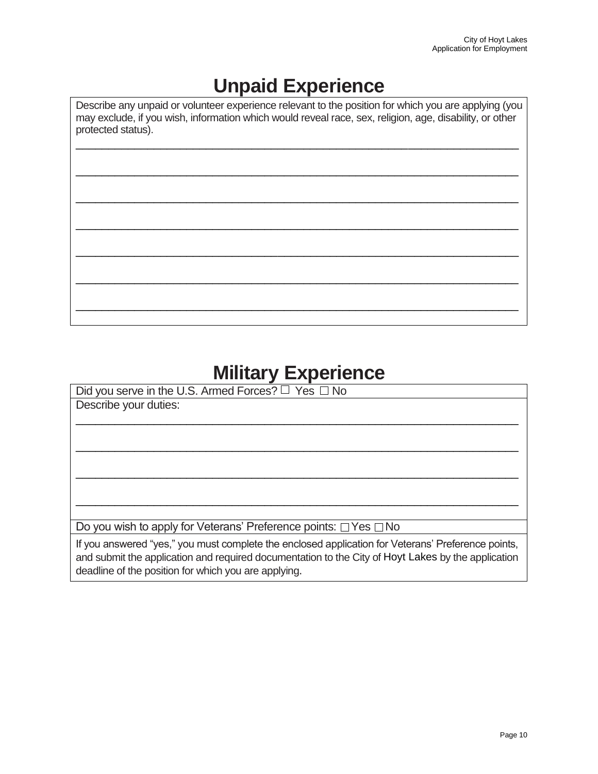## **Unpaid Experience**

Describe any unpaid or volunteer experience relevant to the position for which you are applying (you may exclude, if you wish, information which would reveal race, sex, religion, age, disability, or other protected status).

\_\_\_\_\_\_\_\_\_\_\_\_\_\_\_\_\_\_\_\_\_\_\_\_\_\_\_\_\_\_\_\_\_\_\_\_\_\_\_\_\_\_\_\_\_\_\_\_\_\_\_\_\_\_\_\_\_\_\_\_\_\_\_\_\_\_\_\_

\_\_\_\_\_\_\_\_\_\_\_\_\_\_\_\_\_\_\_\_\_\_\_\_\_\_\_\_\_\_\_\_\_\_\_\_\_\_\_\_\_\_\_\_\_\_\_\_\_\_\_\_\_\_\_\_\_\_\_\_\_\_\_\_\_\_\_\_

\_\_\_\_\_\_\_\_\_\_\_\_\_\_\_\_\_\_\_\_\_\_\_\_\_\_\_\_\_\_\_\_\_\_\_\_\_\_\_\_\_\_\_\_\_\_\_\_\_\_\_\_\_\_\_\_\_\_\_\_\_\_\_\_\_\_\_\_

\_\_\_\_\_\_\_\_\_\_\_\_\_\_\_\_\_\_\_\_\_\_\_\_\_\_\_\_\_\_\_\_\_\_\_\_\_\_\_\_\_\_\_\_\_\_\_\_\_\_\_\_\_\_\_\_\_\_\_\_\_\_\_\_\_\_\_\_

\_\_\_\_\_\_\_\_\_\_\_\_\_\_\_\_\_\_\_\_\_\_\_\_\_\_\_\_\_\_\_\_\_\_\_\_\_\_\_\_\_\_\_\_\_\_\_\_\_\_\_\_\_\_\_\_\_\_\_\_\_\_\_\_\_\_\_\_

\_\_\_\_\_\_\_\_\_\_\_\_\_\_\_\_\_\_\_\_\_\_\_\_\_\_\_\_\_\_\_\_\_\_\_\_\_\_\_\_\_\_\_\_\_\_\_\_\_\_\_\_\_\_\_\_\_\_\_\_\_\_\_\_\_\_\_\_

\_\_\_\_\_\_\_\_\_\_\_\_\_\_\_\_\_\_\_\_\_\_\_\_\_\_\_\_\_\_\_\_\_\_\_\_\_\_\_\_\_\_\_\_\_\_\_\_\_\_\_\_\_\_\_\_\_\_\_\_\_\_\_\_\_\_\_\_

## **Military Experience**

| Did you serve in the U.S. Armed Forces? $\Box$ Yes $\Box$ No                                                                                                                                                                                                     |
|------------------------------------------------------------------------------------------------------------------------------------------------------------------------------------------------------------------------------------------------------------------|
| Describe your duties:                                                                                                                                                                                                                                            |
|                                                                                                                                                                                                                                                                  |
|                                                                                                                                                                                                                                                                  |
|                                                                                                                                                                                                                                                                  |
|                                                                                                                                                                                                                                                                  |
|                                                                                                                                                                                                                                                                  |
|                                                                                                                                                                                                                                                                  |
|                                                                                                                                                                                                                                                                  |
|                                                                                                                                                                                                                                                                  |
| Do you wish to apply for Veterans' Preference points: $\Box$ Yes $\Box$ No                                                                                                                                                                                       |
| If you answered "yes," you must complete the enclosed application for Veterans' Preference points,<br>and submit the application and required documentation to the City of Hoyt Lakes by the application<br>deadline of the position for which you are applying. |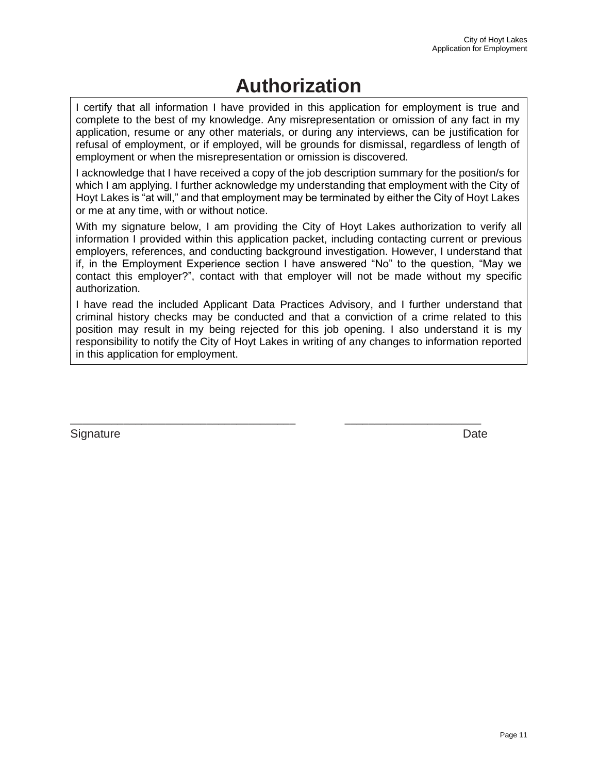## **Authorization**

I certify that all information I have provided in this application for employment is true and complete to the best of my knowledge. Any misrepresentation or omission of any fact in my application, resume or any other materials, or during any interviews, can be justification for refusal of employment, or if employed, will be grounds for dismissal, regardless of length of employment or when the misrepresentation or omission is discovered.

I acknowledge that I have received a copy of the job description summary for the position/s for which I am applying. I further acknowledge my understanding that employment with the City of Hoyt Lakes is "at will," and that employment may be terminated by either the City of Hoyt Lakes or me at any time, with or without notice.

With my signature below, I am providing the City of Hoyt Lakes authorization to verify all information I provided within this application packet, including contacting current or previous employers, references, and conducting background investigation. However, I understand that if, in the Employment Experience section I have answered "No" to the question, "May we contact this employer?", contact with that employer will not be made without my specific authorization.

I have read the included Applicant Data Practices Advisory, and I further understand that criminal history checks may be conducted and that a conviction of a crime related to this position may result in my being rejected for this job opening. I also understand it is my responsibility to notify the City of Hoyt Lakes in writing of any changes to information reported in this application for employment.

\_\_\_\_\_\_\_\_\_\_\_\_\_\_\_\_\_\_\_\_\_\_\_\_\_\_\_\_\_\_\_\_\_\_\_\_\_\_ \_\_\_\_\_\_\_\_\_\_\_\_\_\_\_\_\_\_\_\_\_\_\_

Signature Date **Date**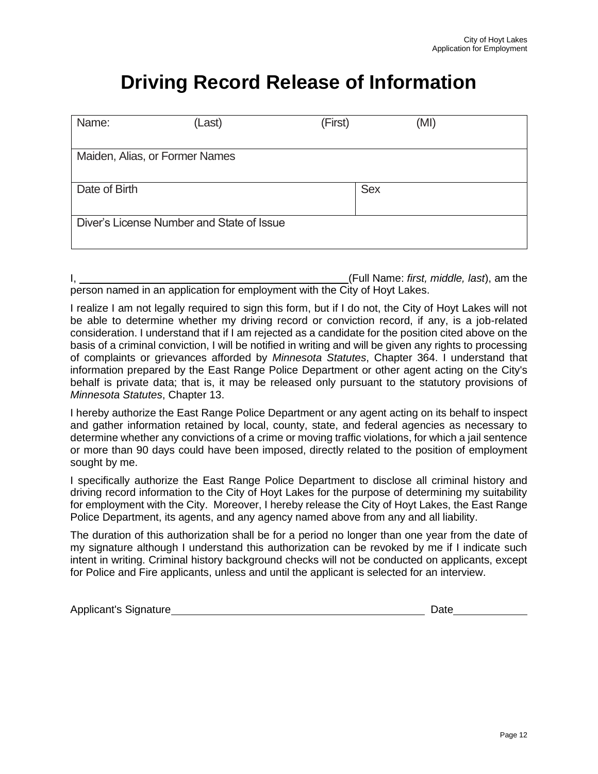## **Driving Record Release of Information**

| Name:                                     | (Last) | (First)    | (MI) |  |
|-------------------------------------------|--------|------------|------|--|
| Maiden, Alias, or Former Names            |        |            |      |  |
| Date of Birth                             |        | <b>Sex</b> |      |  |
| Diver's License Number and State of Issue |        |            |      |  |

|                                                                            | (Full Name: first, middle, last), am the |  |  |
|----------------------------------------------------------------------------|------------------------------------------|--|--|
| person named in an application for employment with the City of Hoyt Lakes. |                                          |  |  |

I realize I am not legally required to sign this form, but if I do not, the City of Hoyt Lakes will not be able to determine whether my driving record or conviction record, if any, is a job-related consideration. I understand that if I am rejected as a candidate for the position cited above on the basis of a criminal conviction, I will be notified in writing and will be given any rights to processing of complaints or grievances afforded by *Minnesota Statutes*, Chapter 364. I understand that information prepared by the East Range Police Department or other agent acting on the City's behalf is private data; that is, it may be released only pursuant to the statutory provisions of *Minnesota Statutes*, Chapter 13.

I hereby authorize the East Range Police Department or any agent acting on its behalf to inspect and gather information retained by local, county, state, and federal agencies as necessary to determine whether any convictions of a crime or moving traffic violations, for which a jail sentence or more than 90 days could have been imposed, directly related to the position of employment sought by me.

I specifically authorize the East Range Police Department to disclose all criminal history and driving record information to the City of Hoyt Lakes for the purpose of determining my suitability for employment with the City. Moreover, I hereby release the City of Hoyt Lakes, the East Range Police Department, its agents, and any agency named above from any and all liability.

The duration of this authorization shall be for a period no longer than one year from the date of my signature although I understand this authorization can be revoked by me if I indicate such intent in writing. Criminal history background checks will not be conducted on applicants, except for Police and Fire applicants, unless and until the applicant is selected for an interview.

| <b>Applicant's Signature</b> |  | Date |  |
|------------------------------|--|------|--|
|------------------------------|--|------|--|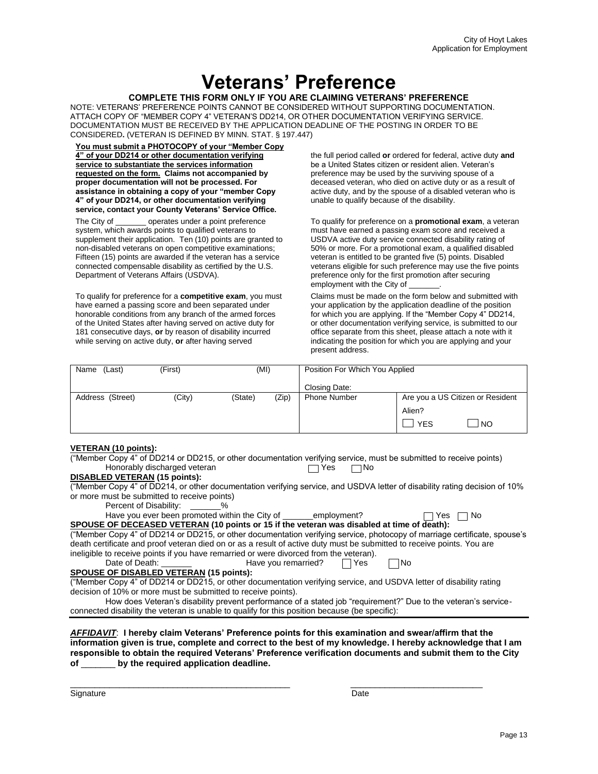## **Veterans' Preference**

#### **COMPLETE THIS FORM ONLY IF YOU ARE CLAIMING VETERANS' PREFERENCE**

NOTE: VETERANS' PREFERENCE POINTS CANNOT BE CONSIDERED WITHOUT SUPPORTING DOCUMENTATION. ATTACH COPY OF "MEMBER COPY 4" VETERAN'S DD214, OR OTHER DOCUMENTATION VERIFYING SERVICE. DOCUMENTATION MUST BE RECEIVED BY THE APPLICATION DEADLINE OF THE POSTING IN ORDER TO BE CONSIDERED**.** (VETERAN IS DEFINED BY MINN. STAT. § 197.447)

**You must submit a PHOTOCOPY of your "Member Copy 4" of your DD214 or other documentation verifying service to substantiate the services information requested on the form. Claims not accompanied by proper documentation will not be processed. For assistance in obtaining a copy of your "member Copy 4" of your DD214, or other documentation verifying service, contact your County Veterans' Service Office.**

The City of \_\_\_\_\_\_\_ operates under a point preference system, which awards points to qualified veterans to supplement their application. Ten (10) points are granted to non-disabled veterans on open competitive examinations; Fifteen (15) points are awarded if the veteran has a service connected compensable disability as certified by the U.S. Department of Veterans Affairs (USDVA).

To qualify for preference for a **competitive exam**, you must have earned a passing score and been separated under honorable conditions from any branch of the armed forces of the United States after having served on active duty for 181 consecutive days, **or** by reason of disability incurred while serving on active duty, **or** after having served

the full period called **or** ordered for federal, active duty **and** be a United States citizen or resident alien. Veteran's preference may be used by the surviving spouse of a deceased veteran, who died on active duty or as a result of active duty, and by the spouse of a disabled veteran who is unable to qualify because of the disability.

To qualify for preference on a **promotional exam**, a veteran must have earned a passing exam score and received a USDVA active duty service connected disability rating of 50% or more. For a promotional exam, a qualified disabled veteran is entitled to be granted five (5) points. Disabled veterans eligible for such preference may use the five points preference only for the first promotion after securing employment with the City of

Claims must be made on the form below and submitted with your application by the application deadline of the position for which you are applying. If the "Member Copy 4" DD214, or other documentation verifying service, is submitted to our office separate from this sheet, please attach a note with it indicating the position for which you are applying and your present address.

| Name<br>(Last)   | (First) | (MI)    |       | Position For Which You Applied |                                  |
|------------------|---------|---------|-------|--------------------------------|----------------------------------|
|                  |         |         |       | Closing Date:                  |                                  |
| Address (Street) | (City)  | (State) | (Zip) | <b>Phone Number</b>            | Are you a US Citizen or Resident |
|                  |         |         |       |                                | Alien?                           |
|                  |         |         |       |                                | <b>NO</b><br><b>YES</b>          |

#### **VETERAN (10 points):**

|                              | ("Member Copy 4" of DD214 or DD215, or other documentation verifying service, must be submitted to receive points) |
|------------------------------|--------------------------------------------------------------------------------------------------------------------|
| Honorably discharged veteran | $\Box$ Yes $\Box$ No                                                                                               |

**DISABLED VETERAN (15 points):**

("Member Copy 4" of DD214, or other documentation verifying service, and USDVA letter of disability rating decision of 10% or more must be submitted to receive points)

Percent of Disability: 2%

| Have you ever been promoted within the City of<br>employment? |  |
|---------------------------------------------------------------|--|

 $\Box$  Yes  $\Box$  No **SPOUSE OF DECEASED VETERAN (10 points or 15 if the veteran was disabled at time of death):** ("Member Copy 4" of DD214 or DD215, or other documentation verifying service, photocopy of marriage certificate, spouse's

death certificate and proof veteran died on or as a result of active duty must be submitted to receive points. You are ineligible to receive points if you have remarried or were divorced from the veteran).<br>Date of Death: Have you remarried?

Have you remarried?  $\Box$  Yes  $\Box$  No

#### **SPOUSE OF DISABLED VETERAN (15 points):**

("Member Copy 4" of DD214 or DD215, or other documentation verifying service, and USDVA letter of disability rating decision of 10% or more must be submitted to receive points).

| How does Veteran's disability prevent performance of a stated job "requirement?" Due to the veteran's service- |  |  |  |
|----------------------------------------------------------------------------------------------------------------|--|--|--|
| connected disability the veteran is unable to qualify for this position because (be specific):                 |  |  |  |

#### *AFFIDAVIT*: **I hereby claim Veterans' Preference points for this examination and swear/affirm that the information given is true, complete and correct to the best of my knowledge. I hereby acknowledge that I am responsible to obtain the required Veterans' Preference verification documents and submit them to the City of** \_\_\_\_\_\_\_ **by the required application deadline.**

\_\_\_\_\_\_\_\_\_\_\_\_\_\_\_\_\_\_\_\_\_\_\_\_\_\_\_\_\_\_\_\_\_\_\_\_\_\_\_\_\_\_\_\_\_ \_\_\_\_\_\_\_\_\_\_\_\_\_\_\_\_\_\_\_\_\_\_\_\_\_\_\_

Signature Date Date of the Date of the Date of the Date of the Date of the Date of the Date of the Date of the Date of the Date of the Date of the Date of the Date of the Date of the Date of the Date of the Date of the Dat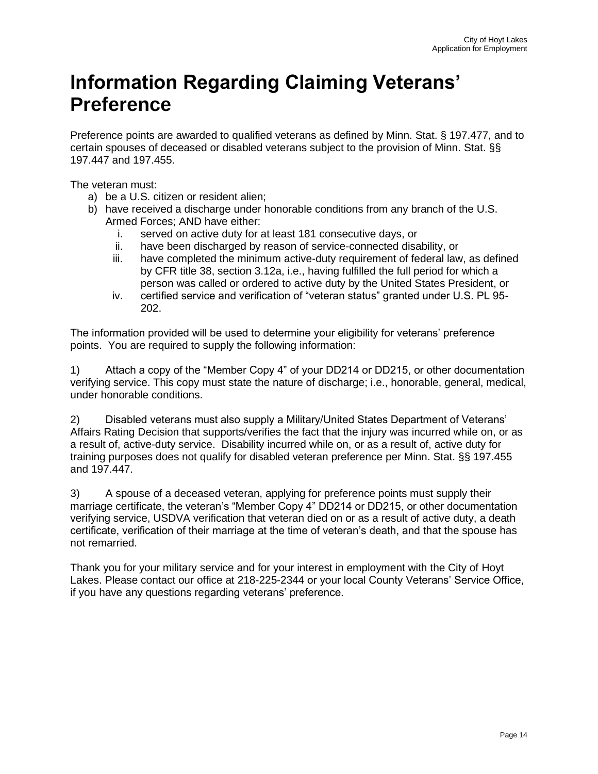## **Information Regarding Claiming Veterans' Preference**

Preference points are awarded to qualified veterans as defined by Minn. Stat. § 197.477, and to certain spouses of deceased or disabled veterans subject to the provision of Minn. Stat. §§ 197.447 and 197.455.

The veteran must:

- a) be a U.S. citizen or resident alien;
- b) have received a discharge under honorable conditions from any branch of the U.S. Armed Forces; AND have either:
	- i. served on active duty for at least 181 consecutive days, or
	- ii. have been discharged by reason of service-connected disability, or
	- iii. have completed the minimum active-duty requirement of federal law, as defined by CFR title 38, section 3.12a, i.e., having fulfilled the full period for which a person was called or ordered to active duty by the United States President, or
	- iv. certified service and verification of "veteran status" granted under U.S. PL 95- 202.

The information provided will be used to determine your eligibility for veterans' preference points. You are required to supply the following information:

1) Attach a copy of the "Member Copy 4" of your DD214 or DD215, or other documentation verifying service. This copy must state the nature of discharge; i.e., honorable, general, medical, under honorable conditions.

2) Disabled veterans must also supply a Military/United States Department of Veterans' Affairs Rating Decision that supports/verifies the fact that the injury was incurred while on, or as a result of, active-duty service. Disability incurred while on, or as a result of, active duty for training purposes does not qualify for disabled veteran preference per Minn. Stat. §§ 197.455 and 197.447.

3) A spouse of a deceased veteran, applying for preference points must supply their marriage certificate, the veteran's "Member Copy 4" DD214 or DD215, or other documentation verifying service, USDVA verification that veteran died on or as a result of active duty, a death certificate, verification of their marriage at the time of veteran's death, and that the spouse has not remarried.

Thank you for your military service and for your interest in employment with the City of Hoyt Lakes. Please contact our office at 218-225-2344 or your local County Veterans' Service Office, if you have any questions regarding veterans' preference.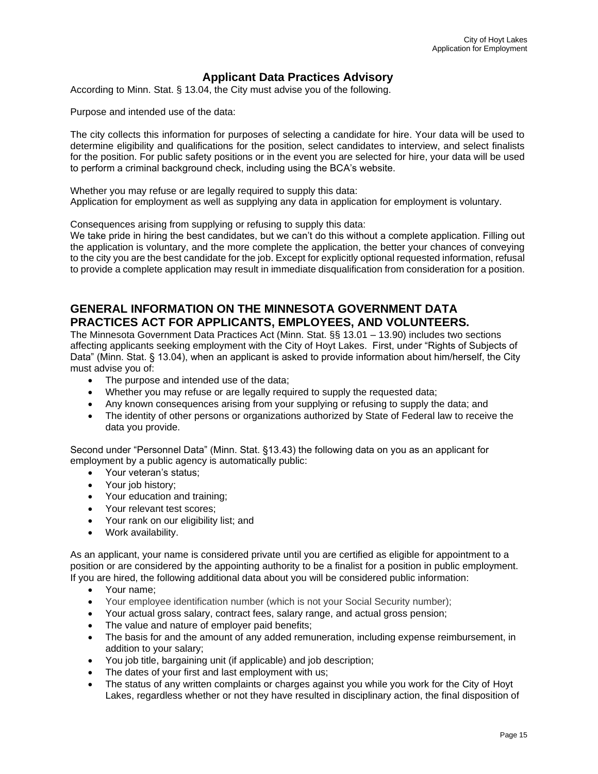#### **Applicant Data Practices Advisory**

According to Minn. Stat. § 13.04, the City must advise you of the following.

Purpose and intended use of the data:

The city collects this information for purposes of selecting a candidate for hire. Your data will be used to determine eligibility and qualifications for the position, select candidates to interview, and select finalists for the position. For public safety positions or in the event you are selected for hire, your data will be used to perform a criminal background check, including using the BCA's website.

Whether you may refuse or are legally required to supply this data: Application for employment as well as supplying any data in application for employment is voluntary.

Consequences arising from supplying or refusing to supply this data:

We take pride in hiring the best candidates, but we can't do this without a complete application. Filling out the application is voluntary, and the more complete the application, the better your chances of conveying to the city you are the best candidate for the job. Except for explicitly optional requested information, refusal to provide a complete application may result in immediate disqualification from consideration for a position.

### **GENERAL INFORMATION ON THE MINNESOTA GOVERNMENT DATA PRACTICES ACT FOR APPLICANTS, EMPLOYEES, AND VOLUNTEERS.**

The Minnesota Government Data Practices Act (Minn. Stat. §§ 13.01 – 13.90) includes two sections affecting applicants seeking employment with the City of Hoyt Lakes. First, under "Rights of Subjects of Data" (Minn. Stat. § 13.04), when an applicant is asked to provide information about him/herself, the City must advise you of:

- The purpose and intended use of the data;
- Whether you may refuse or are legally required to supply the requested data;
- Any known consequences arising from your supplying or refusing to supply the data; and
- The identity of other persons or organizations authorized by State of Federal law to receive the data you provide.

Second under "Personnel Data" (Minn. Stat. §13.43) the following data on you as an applicant for employment by a public agency is automatically public:

- Your veteran's status;
- Your job history;
- Your education and training;
- Your relevant test scores;
- Your rank on our eligibility list; and
- Work availability.

As an applicant, your name is considered private until you are certified as eligible for appointment to a position or are considered by the appointing authority to be a finalist for a position in public employment. If you are hired, the following additional data about you will be considered public information:

- Your name;
- Your employee identification number (which is not your Social Security number);
- Your actual gross salary, contract fees, salary range, and actual gross pension;
- The value and nature of employer paid benefits;
- The basis for and the amount of any added remuneration, including expense reimbursement, in addition to your salary;
- You job title, bargaining unit (if applicable) and job description;
- The dates of your first and last employment with us;
- The status of any written complaints or charges against you while you work for the City of Hoyt Lakes, regardless whether or not they have resulted in disciplinary action, the final disposition of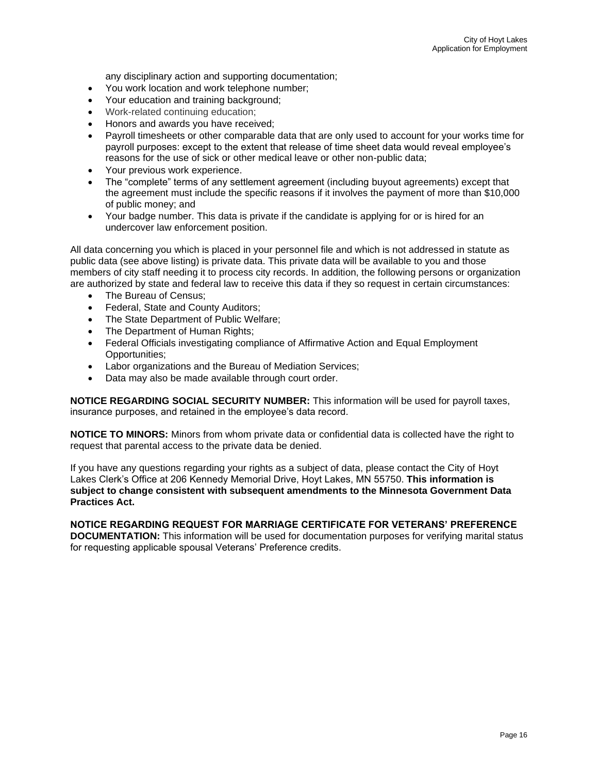any disciplinary action and supporting documentation;

- You work location and work telephone number;
- Your education and training background;
- Work-related continuing education;
- Honors and awards you have received;
- Pavroll timesheets or other comparable data that are only used to account for your works time for payroll purposes: except to the extent that release of time sheet data would reveal employee's reasons for the use of sick or other medical leave or other non-public data;
- Your previous work experience.
- The "complete" terms of any settlement agreement (including buyout agreements) except that the agreement must include the specific reasons if it involves the payment of more than \$10,000 of public money; and
- Your badge number. This data is private if the candidate is applying for or is hired for an undercover law enforcement position.

All data concerning you which is placed in your personnel file and which is not addressed in statute as public data (see above listing) is private data. This private data will be available to you and those members of city staff needing it to process city records. In addition, the following persons or organization are authorized by state and federal law to receive this data if they so request in certain circumstances:

- The Bureau of Census;
- Federal, State and County Auditors;
- The State Department of Public Welfare;
- The Department of Human Rights;
- Federal Officials investigating compliance of Affirmative Action and Equal Employment Opportunities;
- Labor organizations and the Bureau of Mediation Services;
- Data may also be made available through court order.

**NOTICE REGARDING SOCIAL SECURITY NUMBER:** This information will be used for payroll taxes, insurance purposes, and retained in the employee's data record.

**NOTICE TO MINORS:** Minors from whom private data or confidential data is collected have the right to request that parental access to the private data be denied.

If you have any questions regarding your rights as a subject of data, please contact the City of Hoyt Lakes Clerk's Office at 206 Kennedy Memorial Drive, Hoyt Lakes, MN 55750. **This information is subject to change consistent with subsequent amendments to the Minnesota Government Data Practices Act.**

**NOTICE REGARDING REQUEST FOR MARRIAGE CERTIFICATE FOR VETERANS' PREFERENCE DOCUMENTATION:** This information will be used for documentation purposes for verifying marital status for requesting applicable spousal Veterans' Preference credits.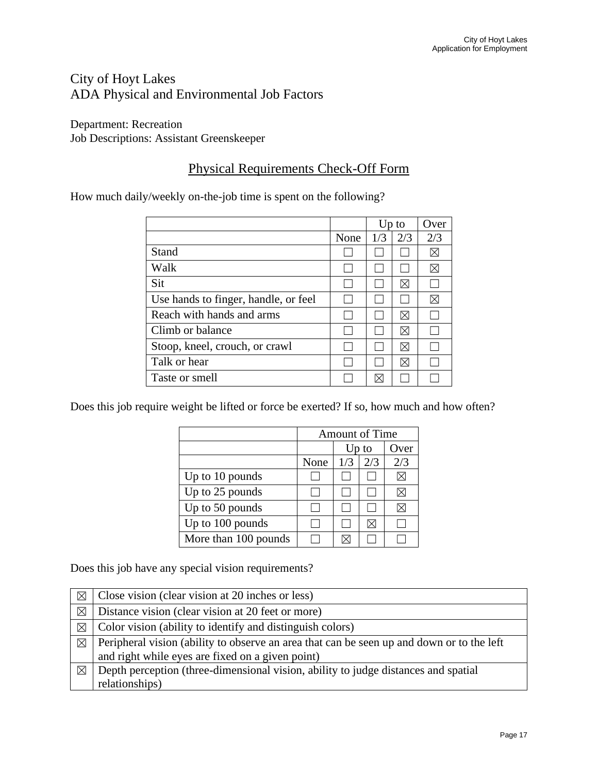## City of Hoyt Lakes ADA Physical and Environmental Job Factors

Department: Recreation Job Descriptions: Assistant Greenskeeper

## Physical Requirements Check-Off Form

How much daily/weekly on-the-job time is spent on the following?

|                                      |      |     | $Up$ to   | Over        |
|--------------------------------------|------|-----|-----------|-------------|
|                                      | None | 1/3 | 2/3       | 2/3         |
| Stand                                |      |     |           | $\boxtimes$ |
| Walk                                 |      |     |           | ⊠           |
| Sit                                  |      |     | ΙÑ        |             |
| Use hands to finger, handle, or feel |      |     |           | ⊠           |
| Reach with hands and arms            |      |     | M         |             |
| Climb or balance                     |      |     | $\bowtie$ |             |
| Stoop, kneel, crouch, or crawl       |      |     | ⊠         |             |
| Talk or hear                         |      |     |           |             |
| Taste or smell                       |      |     |           |             |

Does this job require weight be lifted or force be exerted? If so, how much and how often?

|                      | <b>Amount of Time</b> |       |      |     |
|----------------------|-----------------------|-------|------|-----|
|                      |                       | Up to | Over |     |
|                      | None                  | 1/3   | 2/3  | 2/3 |
| Up to 10 pounds      |                       |       |      |     |
| Up to 25 pounds      |                       |       |      |     |
| Up to 50 pounds      |                       |       |      |     |
| Up to 100 pounds     |                       |       |      |     |
| More than 100 pounds |                       |       |      |     |

Does this job have any special vision requirements?

| $\boxtimes$ | Close vision (clear vision at 20 inches or less)                                          |  |  |
|-------------|-------------------------------------------------------------------------------------------|--|--|
| $\boxtimes$ | Distance vision (clear vision at 20 feet or more)                                         |  |  |
| $\boxtimes$ | Color vision (ability to identify and distinguish colors)                                 |  |  |
| $\boxtimes$ | Peripheral vision (ability to observe an area that can be seen up and down or to the left |  |  |
|             | and right while eyes are fixed on a given point)                                          |  |  |
| $\boxtimes$ | Depth perception (three-dimensional vision, ability to judge distances and spatial        |  |  |
|             | relationships)                                                                            |  |  |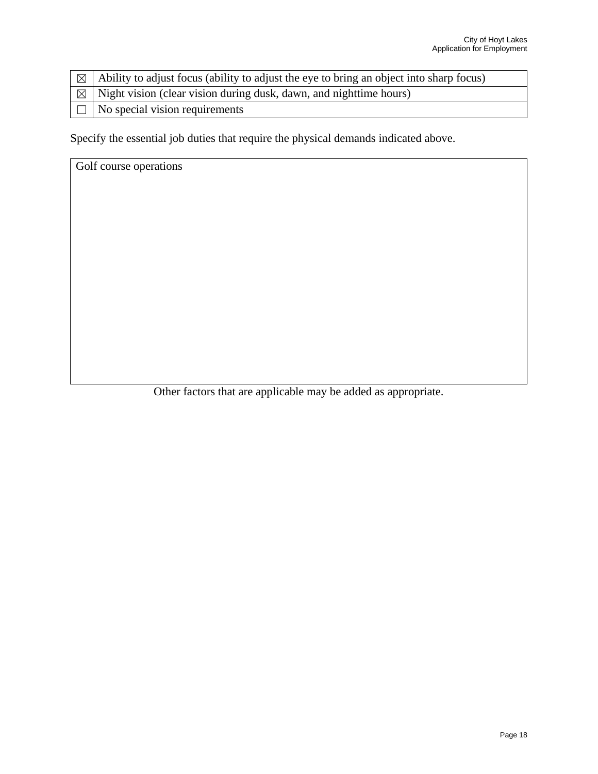| $\boxed{\boxtimes}$ Ability to adjust focus (ability to adjust the eye to bring an object into sharp focus) |  |  |  |
|-------------------------------------------------------------------------------------------------------------|--|--|--|
| $\vert \boxtimes \vert$ Night vision (clear vision during dusk, dawn, and nighttime hours)                  |  |  |  |
| $\Box$ No special vision requirements                                                                       |  |  |  |

Specify the essential job duties that require the physical demands indicated above.

Golf course operations

Other factors that are applicable may be added as appropriate.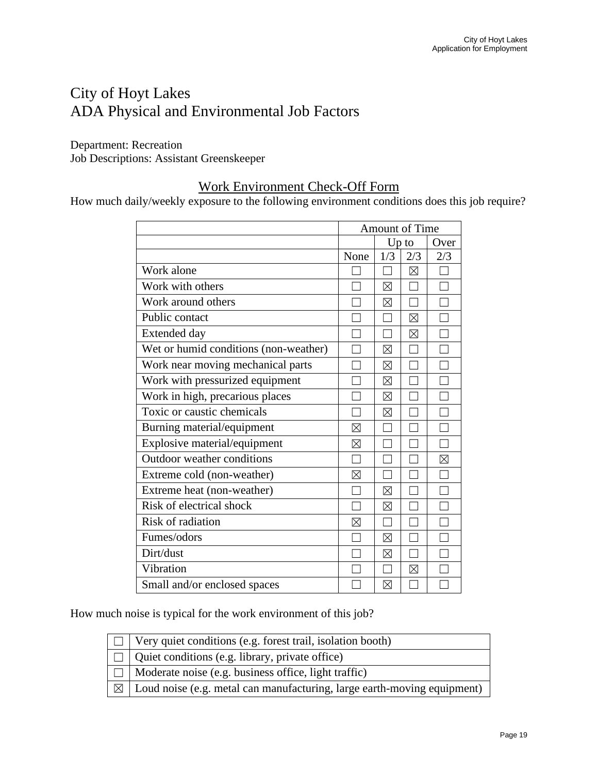## City of Hoyt Lakes ADA Physical and Environmental Job Factors

Department: Recreation Job Descriptions: Assistant Greenskeeper

## Work Environment Check-Off Form

How much daily/weekly exposure to the following environment conditions does this job require?

|                                       | Amount of Time |             |               |             |
|---------------------------------------|----------------|-------------|---------------|-------------|
|                                       |                |             | Up to<br>Over |             |
|                                       | None           | 1/3         | 2/3           | 2/3         |
| Work alone                            |                |             | $\boxtimes$   |             |
| Work with others                      |                | ⊠           |               |             |
| Work around others                    |                | $\boxtimes$ |               |             |
| Public contact                        |                |             | $\boxtimes$   |             |
| <b>Extended day</b>                   |                |             | $\boxtimes$   |             |
| Wet or humid conditions (non-weather) |                | $\boxtimes$ |               |             |
| Work near moving mechanical parts     |                | ⊠           |               |             |
| Work with pressurized equipment       |                | $\boxtimes$ |               |             |
| Work in high, precarious places       |                | $\boxtimes$ |               |             |
| Toxic or caustic chemicals            |                | $\boxtimes$ |               |             |
| Burning material/equipment            | ⊠              |             |               |             |
| Explosive material/equipment          | ⊠              |             |               |             |
| Outdoor weather conditions            |                |             |               | $\boxtimes$ |
| Extreme cold (non-weather)            | ⊠              |             |               |             |
| Extreme heat (non-weather)            |                | $\boxtimes$ |               |             |
| Risk of electrical shock              |                | $\boxtimes$ |               |             |
| Risk of radiation                     | $\times$       | ▔           |               |             |
| Fumes/odors                           |                | $\boxtimes$ |               |             |
| Dirt/dust                             |                | ⊠           |               |             |
| Vibration                             |                |             | $\boxtimes$   |             |
| Small and/or enclosed spaces          |                | $\boxtimes$ |               |             |

How much noise is typical for the work environment of this job?

| $\Box$ Very quiet conditions (e.g. forest trail, isolation booth)                     |
|---------------------------------------------------------------------------------------|
| $\Box$ Quiet conditions (e.g. library, private office)                                |
| $\Box$ Moderate noise (e.g. business office, light traffic)                           |
| $\boxtimes$   Loud noise (e.g. metal can manufacturing, large earth-moving equipment) |